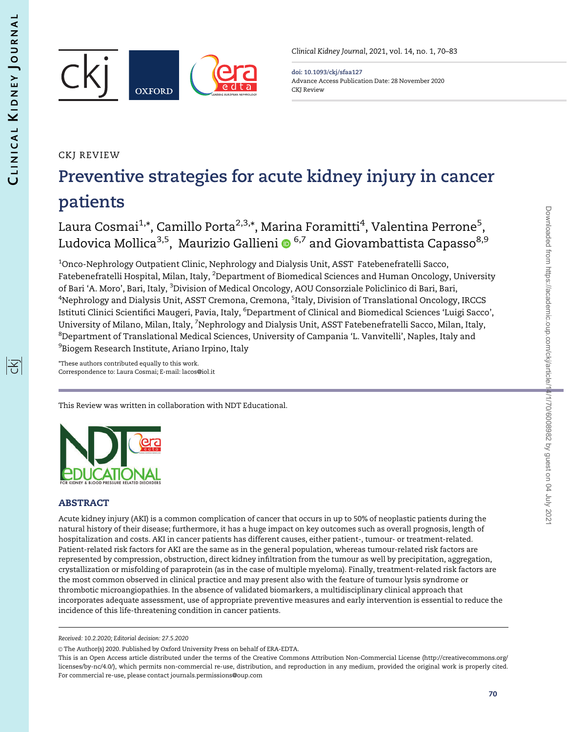

Clinical Kidney Journal, 2021, vol. 14, no. 1, 70–83

doi: 10.1093/ckj/sfaa127 Advance Access Publication Date: 28 November 2020 CKJ Review

CKJ REVIEW

# Preventive strategies for acute kidney injury in cancer patients

# Laura Cosmai<sup>1,</sup>\*, Camillo Porta<sup>2,3,</sup>\*, Marina Foramitti<sup>4</sup>, Valentina Perrone<sup>5</sup>, Ludovica Mollica<sup>3,5</sup>, Maurizio Gallieni  $\bullet$ <sup>6,7</sup> and Giovambattista Capasso<sup>8,9</sup>

 $^{\rm 1}$ Onco-Nephrology Outpatient Clinic, Nephrology and Dialysis Unit, ASST Fatebenefratelli Sacco, Fatebenefratelli Hospital, Milan, Italy, <sup>2</sup>Department of Biomedical Sciences and Human Oncology, University of Bari 'A. Moro', Bari, Italy, <sup>3</sup>Division of Medical Oncology, AOU Consorziale Policlinico di Bari, Bari, <sup>4</sup>Nephrology and Dialysis Unit, ASST Cremona, Cremona, <sup>5</sup>Italy, Division of Translational Oncology, IRCCS Istituti Clinici Scientifici Maugeri, Pavia, Italy, <sup>6</sup>Department of Clinical and Biomedical Sciences 'Luigi Sacco', University of Milano, Milan, Italy, <sup>7</sup>Nephrology and Dialysis Unit, ASST Fatebenefratelli Sacco, Milan, Italy,  $^8$ Department of Translational Medical Sciences, University of Campania 'L. Vanvitelli', Naples, Italy and  $^9$ Biogem Research Institute, Ariano Irpino, Italy

\*These authors contributed equally to this work. Correspondence to: Laura Cosmai; E-mail: lacos@iol.it

This Review was written in collaboration with NDT Educational.



# ABSTRACT

Acute kidney injury (AKI) is a common complication of cancer that occurs in up to 50% of neoplastic patients during the natural history of their disease; furthermore, it has a huge impact on key outcomes such as overall prognosis, length of hospitalization and costs. AKI in cancer patients has different causes, either patient-, tumour- or treatment-related. Patient-related risk factors for AKI are the same as in the general population, whereas tumour-related risk factors are represented by compression, obstruction, direct kidney infiltration from the tumour as well by precipitation, aggregation, crystallization or misfolding of paraprotein (as in the case of multiple myeloma). Finally, treatment-related risk factors are the most common observed in clinical practice and may present also with the feature of tumour lysis syndrome or thrombotic microangiopathies. In the absence of validated biomarkers, a multidisciplinary clinical approach that incorporates adequate assessment, use of appropriate preventive measures and early intervention is essential to reduce the incidence of this life-threatening condition in cancer patients.

Received: 10.2.2020; Editorial decision: 27.5.2020

 $\odot$  The Author(s) 2020. Published by Oxford University Press on behalf of ERA-EDTA.

This is an Open Access article distributed under the terms of the Creative Commons Attribution Non-Commercial License (http://creativecommons.org/ licenses/by-nc/4.0/), which permits non-commercial re-use, distribution, and reproduction in any medium, provided the original work is properly cited. For commercial re-use, please contact journals.permissions@oup.com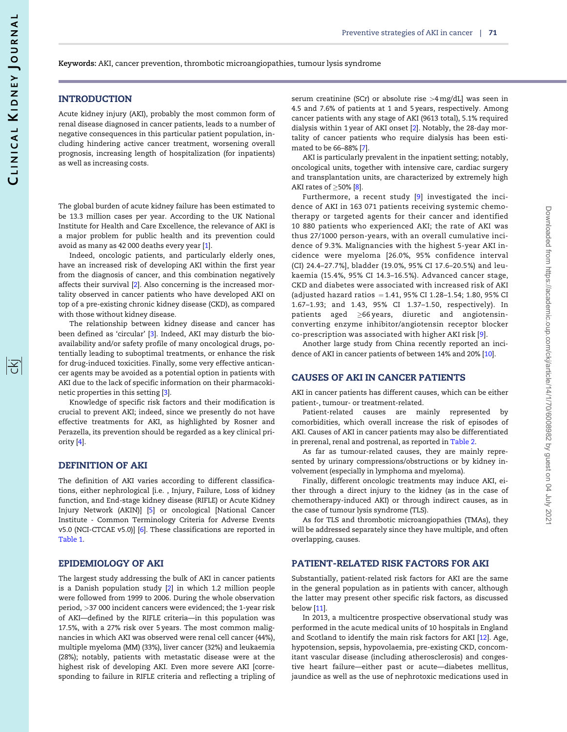<span id="page-1-0"></span>Keywords: AKI, cancer prevention, thrombotic microangiopathies, tumour lysis syndrome

# **INTRODUCTION**

Acute kidney injury (AKI), probably the most common form of renal disease diagnosed in cancer patients, leads to a number of negative consequences in this particular patient population, including hindering active cancer treatment, worsening overall prognosis, increasing length of hospitalization (for inpatients) as well as increasing costs.

The global burden of acute kidney failure has been estimated to be 13.3 million cases per year. According to the UK National Institute for Health and Care Excellence, the relevance of AKI is a major problem for public health and its prevention could avoid as many as 42 000 deaths every year [\[1](#page-11-0)].

Indeed, oncologic patients, and particularly elderly ones, have an increased risk of developing AKI within the first year from the diagnosis of cancer, and this combination negatively affects their survival [\[2\]](#page-11-0). Also concerning is the increased mortality observed in cancer patients who have developed AKI on top of a pre-existing chronic kidney disease (CKD), as compared with those without kidney disease.

The relationship between kidney disease and cancer has been defined as 'circular' [\[3\]](#page-11-0). Indeed, AKI may disturb the bioavailability and/or safety profile of many oncological drugs, potentially leading to suboptimal treatments, or enhance the risk for drug-induced toxicities. Finally, some very effective anticancer agents may be avoided as a potential option in patients with AKI due to the lack of specific information on their pharmacokinetic properties in this setting [\[3](#page-11-0)].

Knowledge of specific risk factors and their modification is crucial to prevent AKI; indeed, since we presently do not have effective treatments for AKI, as highlighted by Rosner and Perazella, its prevention should be regarded as a key clinical priority [\[4\]](#page-11-0).

# DEFINITION OF AKI

The definition of AKI varies according to different classifications, either nephrological [i.e. , Injury, Failure, Loss of kidney function, and End-stage kidney disease (RIFLE) or Acute Kidney Injury Network (AKIN)] [\[5](#page-11-0)] or oncological [National Cancer Institute - Common Terminology Criteria for Adverse Events v5.0 (NCI-CTCAE v5.0)] [\[6](#page-11-0)]. These classifications are reported in [Table 1](#page-2-0).

## EPIDEMIOLOGY OF AKI

The largest study addressing the bulk of AKI in cancer patients is a Danish population study [[2](#page-11-0)] in which 1.2 million people were followed from 1999 to 2006. During the whole observation period, >37 000 incident cancers were evidenced; the 1-year risk of AKI—defined by the RIFLE criteria—in this population was 17.5%, with a 27% risk over 5 years. The most common malignancies in which AKI was observed were renal cell cancer (44%), multiple myeloma (MM) (33%), liver cancer (32%) and leukaemia (28%); notably, patients with metastatic disease were at the highest risk of developing AKI. Even more severe AKI [corresponding to failure in RIFLE criteria and reflecting a tripling of serum creatinine (SCr) or absolute rise >4 mg/dL] was seen in 4.5 and 7.6% of patients at 1 and 5 years, respectively. Among cancer patients with any stage of AKI (9613 total), 5.1% required dialysis within 1 year of AKI onset [[2\]](#page-11-0). Notably, the 28-day mortality of cancer patients who require dialysis has been estimated to be 66–88% [[7](#page-11-0)].

AKI is particularly prevalent in the inpatient setting; notably, oncological units, together with intensive care, cardiac surgery and transplantation units, are characterized by extremely high AKI rates of  $\geq$ 50% [[8](#page-11-0)].

Furthermore, a recent study [\[9\]](#page-11-0) investigated the incidence of AKI in 163 071 patients receiving systemic chemotherapy or targeted agents for their cancer and identified 10 880 patients who experienced AKI; the rate of AKI was thus 27/1000 person-years, with an overall cumulative incidence of 9.3%. Malignancies with the highest 5-year AKI incidence were myeloma [26.0%, 95% confidence interval (CI) 24.4–27.7%], bladder (19.0%, 95% CI 17.6–20.5%) and leukaemia (15.4%, 95% CI 14.3–16.5%). Advanced cancer stage, CKD and diabetes were associated with increased risk of AKI (adjusted hazard ratios = 1.41, 95% CI 1.28-1.54; 1.80, 95% CI 1.67–1.93; and 1.43, 95% CI 1.37–1.50, respectively). In patients aged ≥66 years, diuretic and angiotensinconverting enzyme inhibitor/angiotensin receptor blocker co-prescription was associated with higher AKI risk [\[9\]](#page-11-0).

Another large study from China recently reported an incidence of AKI in cancer patients of between 14% and 20% [\[10\]](#page-11-0).

#### CAUSES OF AKI IN CANCER PATIENTS

AKI in cancer patients has different causes, which can be either patient-, tumour- or treatment-related.

Patient-related causes are mainly represented by comorbidities, which overall increase the risk of episodes of AKI. Causes of AKI in cancer patients may also be differentiated in prerenal, renal and postrenal, as reported in [Table 2.](#page-3-0)

As far as tumour-related causes, they are mainly represented by urinary compressions/obstructions or by kidney involvement (especially in lymphoma and myeloma).

Finally, different oncologic treatments may induce AKI, either through a direct injury to the kidney (as in the case of chemotherapy-induced AKI) or through indirect causes, as in the case of tumour lysis syndrome (TLS).

As for TLS and thrombotic microangiopathies (TMAs), they will be addressed separately since they have multiple, and often overlapping, causes.

# PATIENT-RELATED RISK FACTORS FOR AKI

Substantially, patient-related risk factors for AKI are the same in the general population as in patients with cancer, although the latter may present other specific risk factors, as discussed below [\[11](#page-11-0)].

In 2013, a multicentre prospective observational study was performed in the acute medical units of 10 hospitals in England and Scotland to identify the main risk factors for AKI [[12](#page-11-0)]. Age, hypotension, sepsis, hypovolaemia, pre-existing CKD, concomitant vascular disease (including atherosclerosis) and congestive heart failure—either past or acute—diabetes mellitus, jaundice as well as the use of nephrotoxic medications used in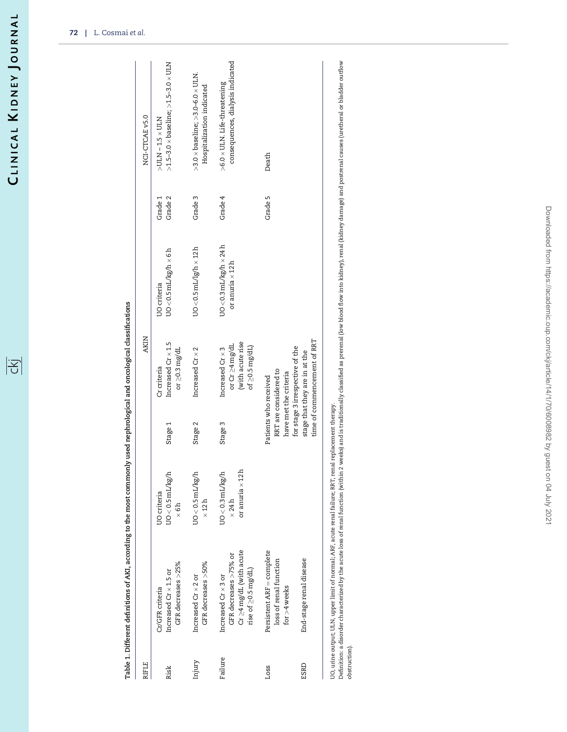<span id="page-2-0"></span>

|   | ⋖                        |   |  |
|---|--------------------------|---|--|
|   |                          |   |  |
|   | R N                      |   |  |
|   |                          |   |  |
|   |                          |   |  |
|   |                          |   |  |
|   |                          |   |  |
|   | ۔<br>م                   | ì |  |
|   |                          |   |  |
|   |                          |   |  |
|   |                          |   |  |
|   |                          |   |  |
|   | ĚΥ                       |   |  |
|   |                          |   |  |
|   | Z                        |   |  |
|   |                          |   |  |
|   | Ō                        |   |  |
|   |                          |   |  |
|   | $\overline{\phantom{0}}$ |   |  |
|   |                          |   |  |
|   |                          |   |  |
|   |                          |   |  |
|   |                          | l |  |
|   | ⋖                        |   |  |
|   | ن                        |   |  |
|   |                          |   |  |
|   |                          |   |  |
|   |                          |   |  |
|   |                          |   |  |
|   |                          |   |  |
|   |                          | л |  |
|   |                          |   |  |
| ٢ |                          |   |  |
|   |                          |   |  |

Table 1. Different definitions of AKI, according to the most commonly used nephrological and oncological classifications Table 1. Different definitions of AKI, according to the most commonly used nephrological and oncological classifications

| <b>RIFLE</b> |                                                                                                                                  |                                                                 |                       | <b>AKIN</b>                                                                                                                                       |                                                   |                    | NCI-CTCAE v5.0                                                                      |
|--------------|----------------------------------------------------------------------------------------------------------------------------------|-----------------------------------------------------------------|-----------------------|---------------------------------------------------------------------------------------------------------------------------------------------------|---------------------------------------------------|--------------------|-------------------------------------------------------------------------------------|
| Risk         | GFR decreases >25%<br>Increased $Cr \times 1.5$ or<br>Cr/GFR criteria                                                            | $UO < 0.5 \text{ mL/kg/h}$<br>UO criteria<br>$x \approx 6h$     | Stage 1               | Increased $Cr \times 1.5$<br>or $\geq$ 0.3 mg/dL<br>Cr criteria                                                                                   | $UO < 0.5$ mL/kg/h $\times$ 6 h<br>UO criteria    | Grade 2<br>Grade 1 | $>$ 1.5–3.0 $\times$ baseline; $>$ 1.5–3.0 $\times$ ULN<br>$>$ ULN-1.5 $\times$ ULN |
| Injury       | GFR decreases >50%<br>Increased $Cr \times 2$ or                                                                                 | $UO < 0.5 \text{mL/kg/h}$<br>$\times$ 12 h                      | Stage 2               | Increased $Cr \times 2$                                                                                                                           | UO<0.5 mL/lg/h × 12 h                             | Grade 3            | $>$ 3.0 $\times$ baseline; $>$ 3.0–6.0 $\times$ ULN.<br>Hospitalization indicated   |
| Failure      | $Cr \geq 4$ mg/dL (with acute<br>GFR decreases >75% or<br>rise of ${\geq}0.5\:\text{mg}/\text{dL}$<br>Increased $Cr \times 3$ or | or anuna $\times$ 12 h<br>$UO < 0.3 \, mL/kg/h$<br>$\times 24h$ | Stage 3               | (with acute rise<br>or Cr ≥4 mg/dL<br>of $\geq$ 0.5 mg/dL)<br>Increased $Cr \times 3$                                                             | UO < 0.3 mL/kg/h × 24 h<br>or anuria $\times$ 12h | Grade 4            | consequences, dialysis indicated<br>>6.0 x ULN. Life-threatening                    |
| ESRD<br>Loss | Persistent ARF = complete<br>End-stage renal disease<br>loss of renal function<br>for $>4$ weeks                                 |                                                                 | Patients who received | time of commencement of RRT<br>for stage 3 irrespective of the<br>stage that they are in at the<br>RRT are considered to<br>have met the criteria |                                                   | Grade 5            | Death                                                                               |
|              |                                                                                                                                  |                                                                 |                       |                                                                                                                                                   |                                                   |                    |                                                                                     |

UO, urine output; ULN, upper limit of normal; ARF, acute renal failure; RRT, renal replacement therapy.

UO, urine output; ULN, upper limit of normal; ARF, acute renal failure; RRT, renal replacement therapy.<br>Definition: a disorder characterized by the acute loss of renal function (within 2 weeks) and is traditionally<br>obstruc Definition: a disorder characterized by the acute loss of renal function (within 2 weeks) and is traditionally classified as prerenal (low blood flow into kidney), renal (kidney damage) and postrenal causes (uretheral or b obstruction).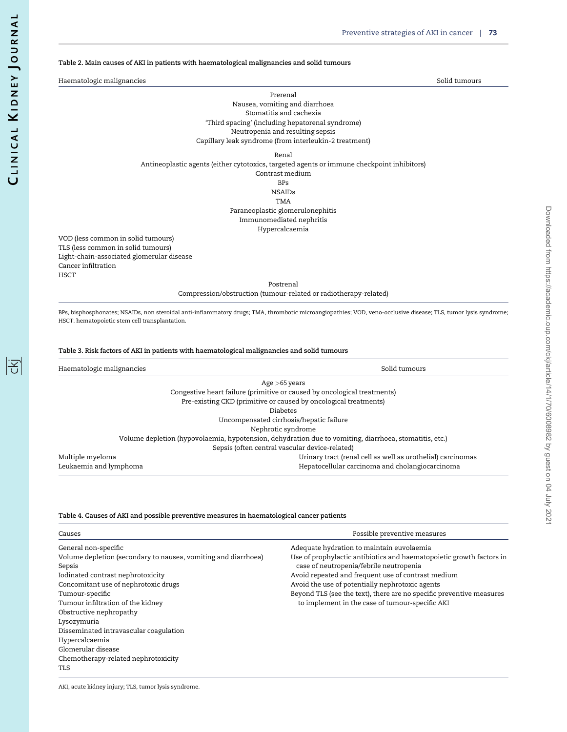#### <span id="page-3-0"></span>Table 2. Main causes of AKI in patients with haematological malignancies and solid tumours

Haematologic malignancies Solid tumours

Prerenal Nausea, vomiting and diarrhoea Stomatitis and cachexia 'Third spacing' (including hepatorenal syndrome) Neutropenia and resulting sepsis Capillary leak syndrome (from interleukin-2 treatment)

Renal

Antineoplastic agents (either cytotoxics, targeted agents or immune checkpoint inhibitors)

Contrast medium

BPs NSAIDs TMA

Paraneoplastic glomerulonephitis

Immunomediated nephritis

Hypercalcaemia

VOD (less common in solid tumours) TLS (less common in solid tumours) Light-chain-associated glomerular disease Cancer infiltration **HSCT** 

Postrenal

Compression/obstruction (tumour-related or radiotherapy-related)

BPs, bisphosphonates; NSAIDs, non steroidal anti-inflammatory drugs; TMA, thrombotic microangiopathies; VOD, veno-occlusive disease; TLS, tumor lysis syndrome; HSCT. hematopoietic stem cell transplantation.

#### Table 3. Risk factors of AKI in patients with haematological malignancies and solid tumours

| Haematologic malignancies<br>Solid tumours                                                             |                                                             |  |
|--------------------------------------------------------------------------------------------------------|-------------------------------------------------------------|--|
| Age $>65$ years                                                                                        |                                                             |  |
| Congestive heart failure (primitive or caused by oncological treatments)                               |                                                             |  |
| Pre-existing CKD (primitive or caused by oncological treatments)                                       |                                                             |  |
| Diabetes                                                                                               |                                                             |  |
| Uncompensated cirrhosis/hepatic failure                                                                |                                                             |  |
| Nephrotic syndrome                                                                                     |                                                             |  |
| Volume depletion (hypovolaemia, hypotension, dehydration due to vomiting, diarrhoea, stomatitis, etc.) |                                                             |  |
| Sepsis (often central vascular device-related)                                                         |                                                             |  |
| Multiple myeloma                                                                                       | Urinary tract (renal cell as well as urothelial) carcinomas |  |
| Leukaemia and lymphoma                                                                                 | Hepatocellular carcinoma and cholangiocarcinoma             |  |

#### Table 4. Causes of AKI and possible preventive measures in haematological cancer patients

| Causes                                                         | Possible preventive measures                                         |
|----------------------------------------------------------------|----------------------------------------------------------------------|
| General non-specific                                           | Adequate hydration to maintain euvolaemia                            |
| Volume depletion (secondary to nausea, vomiting and diarrhoea) | Use of prophylactic antibiotics and haematopoietic growth factors in |
| Sepsis                                                         | case of neutropenia/febrile neutropenia                              |
| Iodinated contrast nephrotoxicity                              | Avoid repeated and frequent use of contrast medium                   |
| Concomitant use of nephrotoxic drugs                           | Avoid the use of potentially nephrotoxic agents                      |
| Tumour-specific                                                | Beyond TLS (see the text), there are no specific preventive measures |
| Tumour infiltration of the kidney                              | to implement in the case of tumour-specific AKI                      |
| Obstructive nephropathy                                        |                                                                      |
| Lysozymuria                                                    |                                                                      |
| Disseminated intravascular coagulation                         |                                                                      |
| Hypercalcaemia                                                 |                                                                      |
| Glomerular disease                                             |                                                                      |
| Chemotherapy-related nephrotoxicity                            |                                                                      |
| TLS                                                            |                                                                      |

Downloaded from https://academic.oup.com/ckj/article/14/1/70/6008982 by guest on 04 July 202' Downloaded from https://academic.oup.com/ckj/article/14/1/70/6008982 by guest on 04 July 2021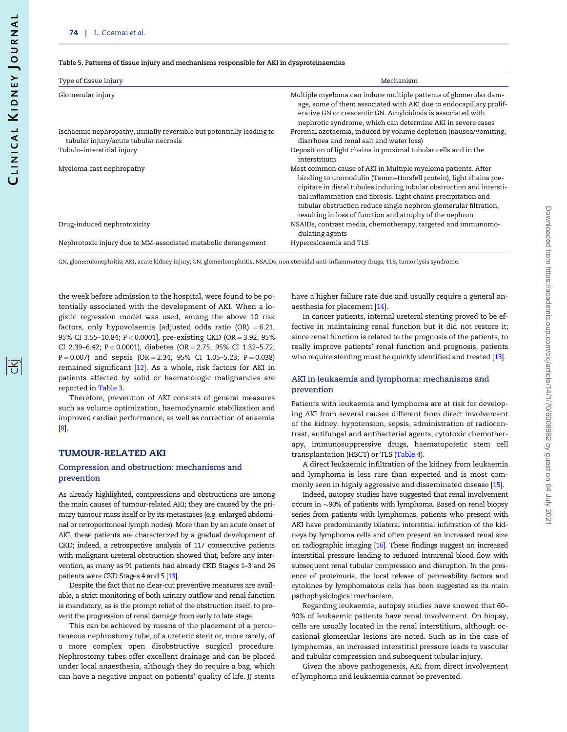#### <span id="page-4-0"></span>Table 5. Patterns of tissue injury and mechanisms responsible for AKI in dysproteinaemias

| Type of tissue injury                                                                                           | Mechanism                                                                                                                                                                                                                                                                                                                                                                                                   |
|-----------------------------------------------------------------------------------------------------------------|-------------------------------------------------------------------------------------------------------------------------------------------------------------------------------------------------------------------------------------------------------------------------------------------------------------------------------------------------------------------------------------------------------------|
| Glomerular injury                                                                                               | Multiple myeloma can induce multiple patterns of glomerular dam-<br>age, some of them associated with AKI due to endocapillary prolif-<br>erative GN or crescentic GN. Amyloidosis is associated with<br>nephrotic syndrome, which can determine AKI in severe cases                                                                                                                                        |
| Ischaemic nephropathy, initially reversible but potentially leading to<br>tubular injury/acute tubular necrosis | Prerenal azotaemia, induced by volume depletion (nausea/vomiting,<br>diarrhoea and renal salt and water loss)                                                                                                                                                                                                                                                                                               |
| Tubulo-interstitial injury                                                                                      | Deposition of light chains in proximal tubular cells and in the<br>interstitium                                                                                                                                                                                                                                                                                                                             |
| Myeloma cast nephropathy                                                                                        | Most common cause of AKI in Multiple myeloma patients. After<br>binding to uromodulin (Tamm-Horsfell protein), light chains pre-<br>cipitate in distal tubules inducing tubular obstruction and intersti-<br>tial inflammation and fibrosis. Light chains precipitation and<br>tubular obstruction reduce single nephron glomerular filtration,<br>resulting in loss of function and atrophy of the nephron |
| Drug-induced nephrotoxicity                                                                                     | NSAIDs, contrast media, chemotherapy, targeted and immunomo-<br>dulating agents                                                                                                                                                                                                                                                                                                                             |
| Nephrotoxic injury due to MM-associated metabolic derangement                                                   | Hypercalcaemia and TLS                                                                                                                                                                                                                                                                                                                                                                                      |

GN, glomerulonephritis; AKI, acute kidney injury; GN, glomerlonephritis, NSAIDs, non steroidal anti-inflammatory drugs; TLS, tumor lysis syndrome.

the week before admission to the hospital, were found to be potentially associated with the development of AKI. When a logistic regression model was used, among the above 10 risk factors, only hypovolaemia [adjusted odds ratio (OR)  $= 6.21$ , 95% CI 3.55-10.84; P < 0.0001], pre-existing CKD (OR = 3.92, 95% CI 2.39-6.42;  $P < 0.0001$ ), diabetes (OR = 2.75, 95% CI 1.32-5.72;  $P = 0.007$ ) and sepsis (OR = 2.34, 95% CI 1.05-5.23; P = 0.038) remained significant [\[12\]](#page-11-0). As a whole, risk factors for AKI in patients affected by solid or haematologic malignancies are reported in [Table 3](#page-3-0).

Therefore, prevention of AKI consists of general measures such as volume optimization, haemodynamic stabilization and improved cardiac performance, as well as correction of anaemia [\[8\]](#page-11-0).

#### TUMOUR-RELATED AKI

## Compression and obstruction: mechanisms and prevention

As already highlighted, compressions and obstructions are among the main causes of tumour-related AKI; they are caused by the primary tumour mass itself or by its metastases (e.g. enlarged abdominal or retroperitoneal lymph nodes). More than by an acute onset of AKI, these patients are characterized by a gradual development of CKD; indeed, a retrospective analysis of 117 consecutive patients with malignant ureteral obstruction showed that, before any intervention, as many as 91 patients had already CKD Stages 1–3 and 26 patients were CKD Stages 4 and 5 [[13](#page-11-0)].

Despite the fact that no clear-cut preventive measures are available, a strict monitoring of both urinary outflow and renal function is mandatory, as is the prompt relief of the obstruction itself, to prevent the progression of renal damage from early to late stage.

This can be achieved by means of the placement of a percutaneous nephrostomy tube, of a ureteric stent or, more rarely, of a more complex open disobstructive surgical procedure. Nephrostomy tubes offer excellent drainage and can be placed under local anaesthesia, although they do require a bag, which can have a negative impact on patients' quality of life. JJ stents have a higher failure rate due and usually require a general anaesthesia for placement [[14](#page-11-0)].

In cancer patients, internal ureteral stenting proved to be effective in maintaining renal function but it did not restore it; since renal function is related to the prognosis of the patients, to really improve patients' renal function and prognosis, patients who require stenting must be quickly identified and treated [\[13](#page-11-0)].

# AKI in leukaemia and lymphoma: mechanisms and prevention

Patients with leukaemia and lymphoma are at risk for developing AKI from several causes different from direct involvement of the kidney: hypotension, sepsis, administration of radiocontrast, antifungal and antibacterial agents, cytotoxic chemotherapy, immunosuppressive drugs, haematopoietic stem cell transplantation (HSCT) or TLS [\(Table 4\)](#page-3-0).

A direct leukaemic infiltration of the kidney from leukaemia and lymphoma is less rare than expected and is most commonly seen in highly aggressive and disseminated disease [[15\]](#page-11-0).

Indeed, autopsy studies have suggested that renal involvement occurs in  $\sim$ 90% of patients with lymphoma. Based on renal biopsy series from patients with lymphomas, patients who present with AKI have predominantly bilateral interstitial infiltration of the kidneys by lymphoma cells and often present an increased renal size on radiographic imaging [\[16](#page-11-0)]. These findings suggest an increased interstitial pressure leading to reduced intrarenal blood flow with subsequent renal tubular compression and disruption. In the presence of proteinuria, the local release of permeability factors and cytokines by lymphomatous cells has been suggested as its main pathophysiological mechanism.

Regarding leukaemia, autopsy studies have showed that 60– 90% of leukaemic patients have renal involvement. On biopsy, cells are usually located in the renal interstitium, although occasional glomerular lesions are noted. Such as in the case of lymphomas, an increased interstitial pressure leads to vascular and tubular compression and subsequent tubular injury.

Given the above pathogenesis, AKI from direct involvement of lymphoma and leukaemia cannot be prevented.

阁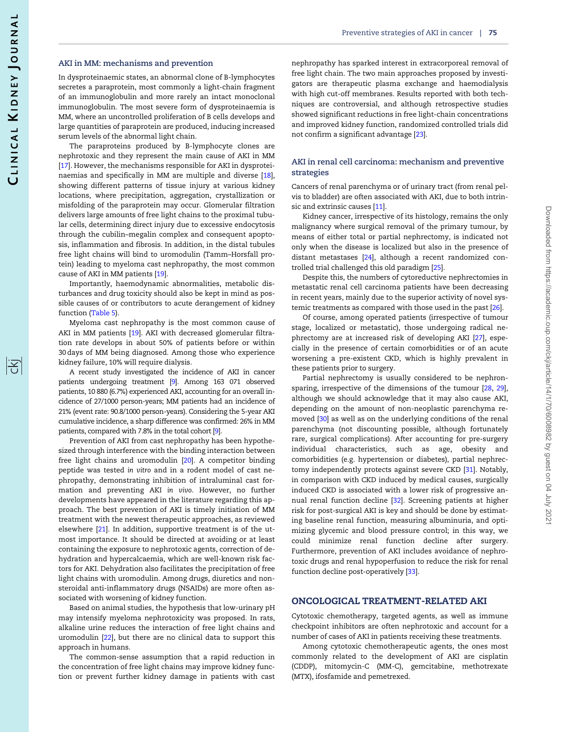#### <span id="page-5-0"></span>AKI in MM: mechanisms and prevention

In dysproteinaemic states, an abnormal clone of B-lymphocytes secretes a paraprotein, most commonly a light-chain fragment of an immunoglobulin and more rarely an intact monoclonal immunoglobulin. The most severe form of dysproteinaemia is MM, where an uncontrolled proliferation of B cells develops and large quantities of paraprotein are produced, inducing increased serum levels of the abnormal light chain.

The paraproteins produced by B-lymphocyte clones are nephrotoxic and they represent the main cause of AKI in MM [\[17\]](#page-11-0). However, the mechanisms responsible for AKI in dysproteinaemias and specifically in MM are multiple and diverse [\[18\]](#page-11-0), showing different patterns of tissue injury at various kidney locations, where precipitation, aggregation, crystallization or misfolding of the paraprotein may occur. Glomerular filtration delivers large amounts of free light chains to the proximal tubular cells, determining direct injury due to excessive endocytosis through the cubilin–megalin complex and consequent apoptosis, inflammation and fibrosis. In addition, in the distal tubules free light chains will bind to uromodulin (Tamm–Horsfall protein) leading to myeloma cast nephropathy, the most common cause of AKI in MM patients [\[19\]](#page-11-0).

Importantly, haemodynamic abnormalities, metabolic disturbances and drug toxicity should also be kept in mind as possible causes of or contributors to acute derangement of kidney function [\(Table 5\)](#page-4-0).

Myeloma cast nephropathy is the most common cause of AKI in MM patients [[19](#page-11-0)]. AKI with decreased glomerular filtration rate develops in about 50% of patients before or within 30 days of MM being diagnosed. Among those who experience kidney failure, 10% will require dialysis.

A recent study investigated the incidence of AKI in cancer patients undergoing treatment [\[9](#page-11-0)]. Among 163 071 observed patients, 10 880 (6.7%) experienced AKI, accounting for an overall incidence of 27/1000 person-years; MM patients had an incidence of 21% (event rate: 90.8/1000 person-years). Considering the 5-year AKI cumulative incidence, a sharp difference was confirmed: 26% in MM patients, compared with 7.8% in the total cohort [\[9](#page-11-0)].

Prevention of AKI from cast nephropathy has been hypothesized through interference with the binding interaction between free light chains and uromodulin [\[20\]](#page-11-0). A competitor binding peptide was tested in vitro and in a rodent model of cast nephropathy, demonstrating inhibition of intraluminal cast formation and preventing AKI in vivo. However, no further developments have appeared in the literature regarding this approach. The best prevention of AKI is timely initiation of MM treatment with the newest therapeutic approaches, as reviewed elsewhere [\[21](#page-11-0)]. In addition, supportive treatment is of the utmost importance. It should be directed at avoiding or at least containing the exposure to nephrotoxic agents, correction of dehydration and hypercalcaemia, which are well-known risk factors for AKI. Dehydration also facilitates the precipitation of free light chains with uromodulin. Among drugs, diuretics and nonsteroidal anti-inflammatory drugs (NSAIDs) are more often associated with worsening of kidney function.

Based on animal studies, the hypothesis that low-urinary pH may intensify myeloma nephrotoxicity was proposed. In rats, alkaline urine reduces the interaction of free light chains and uromodulin [\[22](#page-11-0)], but there are no clinical data to support this approach in humans.

The common-sense assumption that a rapid reduction in the concentration of free light chains may improve kidney function or prevent further kidney damage in patients with cast nephropathy has sparked interest in extracorporeal removal of free light chain. The two main approaches proposed by investigators are therapeutic plasma exchange and haemodialysis with high cut-off membranes. Results reported with both techniques are controversial, and although retrospective studies showed significant reductions in free light-chain concentrations and improved kidney function, randomized controlled trials did not confirm a significant advantage [\[23\]](#page-11-0).

# AKI in renal cell carcinoma: mechanism and preventive strategies

Cancers of renal parenchyma or of urinary tract (from renal pelvis to bladder) are often associated with AKI, due to both intrinsic and extrinsic causes [\[11\]](#page-11-0).

Kidney cancer, irrespective of its histology, remains the only malignancy where surgical removal of the primary tumour, by means of either total or partial nephrectomy, is indicated not only when the disease is localized but also in the presence of distant metastases [[24\]](#page-11-0), although a recent randomized controlled trial challenged this old paradigm [\[25\]](#page-11-0).

Despite this, the numbers of cytoreductive nephrectomies in metastatic renal cell carcinoma patients have been decreasing in recent years, mainly due to the superior activity of novel systemic treatments as compared with those used in the past [[26](#page-11-0)].

Of course, among operated patients (irrespective of tumour stage, localized or metastatic), those undergoing radical nephrectomy are at increased risk of developing AKI [\[27\]](#page-11-0), especially in the presence of certain comorbidities or of an acute worsening a pre-existent CKD, which is highly prevalent in these patients prior to surgery.

Partial nephrectomy is usually considered to be nephronsparing, irrespective of the dimensions of the tumour [\[28](#page-11-0), [29\]](#page-11-0), although we should acknowledge that it may also cause AKI, depending on the amount of non-neoplastic parenchyma removed [[30](#page-11-0)] as well as on the underlying conditions of the renal parenchyma (not discounting possible, although fortunately rare, surgical complications). After accounting for pre-surgery individual characteristics, such as age, obesity and comorbidities (e.g. hypertension or diabetes), partial nephrec-tomy independently protects against severe CKD [[31](#page-11-0)]. Notably, in comparison with CKD induced by medical causes, surgically induced CKD is associated with a lower risk of progressive annual renal function decline [[32](#page-11-0)]. Screening patients at higher risk for post-surgical AKI is key and should be done by estimating baseline renal function, measuring albuminuria, and optimizing glycemic and blood pressure control; in this way, we could minimize renal function decline after surgery. Furthermore, prevention of AKI includes avoidance of nephrotoxic drugs and renal hypoperfusion to reduce the risk for renal function decline post-operatively [[33\]](#page-11-0).

# ONCOLOGICAL TREATMENT-RELATED AKI

Cytotoxic chemotherapy, targeted agents, as well as immune checkpoint inhibitors are often nephrotoxic and account for a number of cases of AKI in patients receiving these treatments.

Among cytotoxic chemotherapeutic agents, the ones most commonly related to the development of AKI are cisplatin (CDDP), mitomycin-C (MM-C), gemcitabine, methotrexate (MTX), ifosfamide and pemetrexed.

序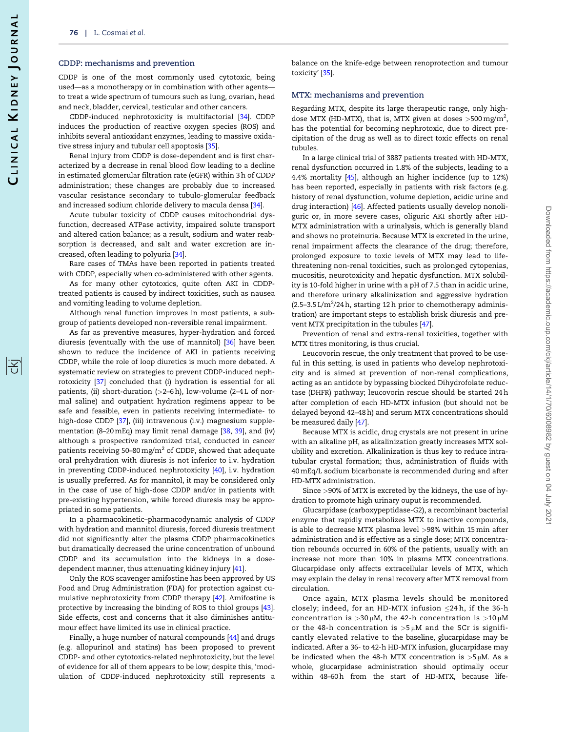#### <span id="page-6-0"></span>CDDP: mechanisms and prevention

CDDP is one of the most commonly used cytotoxic, being used—as a monotherapy or in combination with other agents to treat a wide spectrum of tumours such as lung, ovarian, head and neck, bladder, cervical, testicular and other cancers.

CDDP-induced nephrotoxicity is multifactorial [\[34\]](#page-11-0). CDDP induces the production of reactive oxygen species (ROS) and inhibits several antioxidant enzymes, leading to massive oxidative stress injury and tubular cell apoptosis [\[35\]](#page-11-0).

Renal injury from CDDP is dose-dependent and is first characterized by a decrease in renal blood flow leading to a decline in estimated glomerular filtration rate (eGFR) within 3 h of CDDP administration; these changes are probably due to increased vascular resistance secondary to tubulo-glomerular feedback and increased sodium chloride delivery to macula densa [\[34](#page-11-0)].

Acute tubular toxicity of CDDP causes mitochondrial dysfunction, decreased ATPase activity, impaired solute transport and altered cation balance; as a result, sodium and water reabsorption is decreased, and salt and water excretion are increased, often leading to polyuria [[34](#page-11-0)].

Rare cases of TMAs have been reported in patients treated with CDDP, especially when co-administered with other agents.

As for many other cytotoxics, quite often AKI in CDDPtreated patients is caused by indirect toxicities, such as nausea and vomiting leading to volume depletion.

Although renal function improves in most patients, a subgroup of patients developed non-reversible renal impairment.

As far as preventive measures, hyper-hydration and forced diuresis (eventually with the use of mannitol) [\[36\]](#page-12-0) have been shown to reduce the incidence of AKI in patients receiving CDDP, while the role of loop diuretics is much more debated. A systematic review on strategies to prevent CDDP-induced nephrotoxicity [\[37](#page-12-0)] concluded that (i) hydration is essential for all patients, (ii) short-duration  $(>2-6 h)$ , low-volume (2-4L of normal saline) and outpatient hydration regimens appear to be safe and feasible, even in patients receiving intermediate- to high-dose CDDP [\[37\]](#page-12-0), (iii) intravenous (i.v.) magnesium supplementation (8–20 mEq) may limit renal damage [[38,](#page-12-0) [39\]](#page-12-0), and (iv) although a prospective randomized trial, conducted in cancer patients receiving 50–80 mg/m<sup>2</sup> of CDDP, showed that adequate oral prehydration with diuresis is not inferior to i.v. hydration in preventing CDDP-induced nephrotoxicity [[40\]](#page-12-0), i.v. hydration is usually preferred. As for mannitol, it may be considered only in the case of use of high-dose CDDP and/or in patients with pre-existing hypertension, while forced diuresis may be appropriated in some patients.

In a pharmacokinetic–pharmacodynamic analysis of CDDP with hydration and mannitol diuresis, forced diuresis treatment did not significantly alter the plasma CDDP pharmacokinetics but dramatically decreased the urine concentration of unbound CDDP and its accumulation into the kidneys in a dosedependent manner, thus attenuating kidney injury [\[41\]](#page-12-0).

Only the ROS scavenger amifostine has been approved by US Food and Drug Administration (FDA) for protection against cumulative nephrotoxicity from CDDP therapy [\[42\]](#page-12-0). Amifostine is protective by increasing the binding of ROS to thiol groups [\[43\]](#page-12-0). Side effects, cost and concerns that it also diminishes antitumour effect have limited its use in clinical practice.

Finally, a huge number of natural compounds [[44](#page-12-0)] and drugs (e.g. allopurinol and statins) has been proposed to prevent CDDP- and other cytotoxics-related nephrotoxicity, but the level of evidence for all of them appears to be low; despite this, 'modulation of CDDP-induced nephrotoxicity still represents a balance on the knife-edge between renoprotection and tumour toxicity' [[35](#page-11-0)].

#### MTX: mechanisms and prevention

Regarding MTX, despite its large therapeutic range, only highdose MTX (HD-MTX), that is, MTX given at doses  $>$  500 mg/m<sup>2</sup>, has the potential for becoming nephrotoxic, due to direct precipitation of the drug as well as to direct toxic effects on renal tubules.

In a large clinical trial of 3887 patients treated with HD-MTX, renal dysfunction occurred in 1.8% of the subjects, leading to a 4.4% mortality [[45](#page-12-0)], although an higher incidence (up to 12%) has been reported, especially in patients with risk factors (e.g. history of renal dysfunction, volume depletion, acidic urine and drug interaction) [[46\]](#page-12-0). Affected patients usually develop nonoliguric or, in more severe cases, oliguric AKI shortly after HD-MTX administration with a urinalysis, which is generally bland and shows no proteinuria. Because MTX is excreted in the urine, renal impairment affects the clearance of the drug; therefore, prolonged exposure to toxic levels of MTX may lead to lifethreatening non-renal toxicities, such as prolonged cytopenias, mucositis, neurotoxicity and hepatic dysfunction. MTX solubility is 10-fold higher in urine with a pH of 7.5 than in acidic urine, and therefore urinary alkalinization and aggressive hydration  $(2.5-3.5 \frac{\text{L}}{\text{m}^2}/24 \text{ h},$  starting 12 h prior to chemotherapy administration) are important steps to establish brisk diuresis and prevent MTX precipitation in the tubules [[47](#page-12-0)].

Prevention of renal and extra-renal toxicities, together with MTX titres monitoring, is thus crucial.

Leucovorin rescue, the only treatment that proved to be useful in this setting, is used in patients who develop nephrotoxicity and is aimed at prevention of non-renal complications, acting as an antidote by bypassing blocked Dihydrofolate reductase (DHFR) pathway; leucovorin rescue should be started 24 h after completion of each HD-MTX infusion (but should not be delayed beyond 42–48 h) and serum MTX concentrations should be measured daily [\[47](#page-12-0)].

Because MTX is acidic, drug crystals are not present in urine with an alkaline pH, as alkalinization greatly increases MTX solubility and excretion. Alkalinization is thus key to reduce intratubular crystal formation; thus, administration of fluids with 40 mEq/L sodium bicarbonate is recommended during and after HD-MTX administration.

Since >90% of MTX is excreted by the kidneys, the use of hydration to promote high urinary ouput is recommended.

Glucarpidase (carboxypeptidase-G2), a recombinant bacterial enzyme that rapidly metabolizes MTX to inactive compounds, is able to decrease MTX plasma level >98% within 15 min after administration and is effective as a single dose; MTX concentration rebounds occurred in 60% of the patients, usually with an increase not more than 10% in plasma MTX concentrations. Glucarpidase only affects extracellular levels of MTX, which may explain the delay in renal recovery after MTX removal from circulation.

Once again, MTX plasma levels should be monitored closely; indeed, for an HD-MTX infusion  $\leq$ 24h, if the 36-h concentration is  $>30 \mu M$ , the 42-h concentration is  $>10 \mu M$ or the 48-h concentration is  $>5 \mu M$  and the SCr is significantly elevated relative to the baseline, glucarpidase may be indicated. After a 36- to 42-h HD-MTX infusion, glucarpidase may be indicated when the 48-h MTX concentration is  $>5 \mu M$ . As a whole, glucarpidase administration should optimally occur within 48-60h from the start of HD-MTX, because life-

阁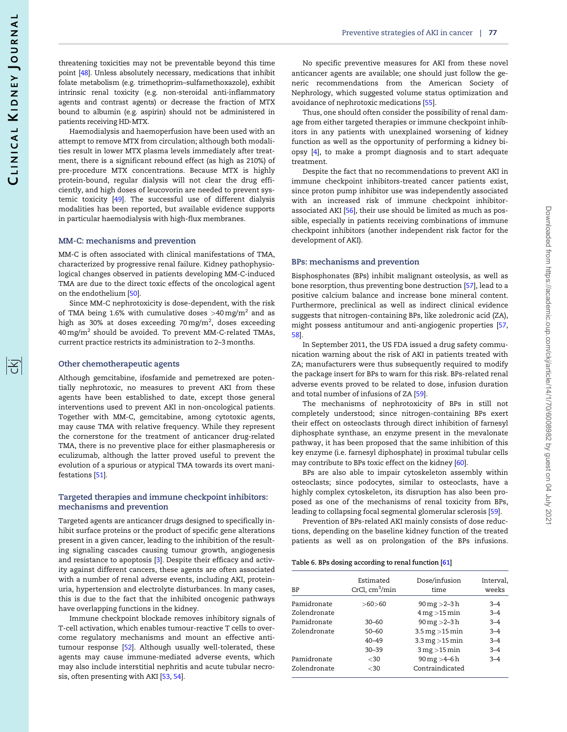Preventive strategies of AKI in cancer | 77

<span id="page-7-0"></span>threatening toxicities may not be preventable beyond this time point [\[48](#page-12-0)]. Unless absolutely necessary, medications that inhibit folate metabolism (e.g. trimethoprim–sulfamethoxazole), exhibit intrinsic renal toxicity (e.g. non-steroidal anti-inflammatory agents and contrast agents) or decrease the fraction of MTX bound to albumin (e.g. aspirin) should not be administered in patients receiving HD-MTX.

Haemodialysis and haemoperfusion have been used with an attempt to remove MTX from circulation; although both modalities result in lower MTX plasma levels immediately after treatment, there is a significant rebound effect (as high as 210%) of pre-procedure MTX concentrations. Because MTX is highly protein-bound, regular dialysis will not clear the drug efficiently, and high doses of leucovorin are needed to prevent systemic toxicity [\[49\]](#page-12-0). The successful use of different dialysis modalities has been reported, but available evidence supports in particular haemodialysis with high-flux membranes.

## MM-C: mechanisms and prevention

MM-C is often associated with clinical manifestations of TMA, characterized by progressive renal failure. Kidney pathophysiological changes observed in patients developing MM-C-induced TMA are due to the direct toxic effects of the oncological agent on the endothelium [[50](#page-12-0)].

Since MM-C nephrotoxicity is dose-dependent, with the risk of TMA being 1.6% with cumulative doses  $>40$  mg/m<sup>2</sup> and as high as 30% at doses exceeding 70 $\mathrm{mg/m^2}$ , doses exceeding 40 mg/m<sup>2</sup> should be avoided. To prevent MM-C-related TMAs, current practice restricts its administration to 2–3 months.

#### Other chemotherapeutic agents

Although gemcitabine, ifosfamide and pemetrexed are potentially nephrotoxic, no measures to prevent AKI from these agents have been established to date, except those general interventions used to prevent AKI in non-oncological patients. Together with MM-C, gemcitabine, among cytotoxic agents, may cause TMA with relative frequency. While they represent the cornerstone for the treatment of anticancer drug-related TMA, there is no preventive place for either plasmapheresis or eculizumab, although the latter proved useful to prevent the evolution of a spurious or atypical TMA towards its overt manifestations [[51\]](#page-12-0).

### Targeted therapies and immune checkpoint inhibitors: mechanisms and prevention

Targeted agents are anticancer drugs designed to specifically inhibit surface proteins or the product of specific gene alterations present in a given cancer, leading to the inhibition of the resulting signaling cascades causing tumour growth, angiogenesis and resistance to apoptosis [[3\]](#page-11-0). Despite their efficacy and activity against different cancers, these agents are often associated with a number of renal adverse events, including AKI, proteinuria, hypertension and electrolyte disturbances. In many cases, this is due to the fact that the inhibited oncogenic pathways have overlapping functions in the kidney.

Immune checkpoint blockade removes inhibitory signals of T-cell activation, which enables tumour-reactive T cells to overcome regulatory mechanisms and mount an effective antitumour response [\[52](#page-12-0)]. Although usually well-tolerated, these agents may cause immune-mediated adverse events, which may also include interstitial nephritis and acute tubular necrosis, often presenting with AKI [\[53,](#page-12-0) [54\]](#page-12-0).

No specific preventive measures for AKI from these novel anticancer agents are available; one should just follow the generic recommendations from the American Society of Nephrology, which suggested volume status optimization and avoidance of nephrotoxic medications [\[55](#page-12-0)].

Thus, one should often consider the possibility of renal damage from either targeted therapies or immune checkpoint inhibitors in any patients with unexplained worsening of kidney function as well as the opportunity of performing a kidney biopsy [[4\]](#page-11-0), to make a prompt diagnosis and to start adequate treatment.

Despite the fact that no recommendations to prevent AKI in immune checkpoint inhibitors-treated cancer patients exist, since proton pump inhibitor use was independently associated with an increased risk of immune checkpoint inhibitorassociated AKI [[56\]](#page-12-0), their use should be limited as much as possible, especially in patients receiving combinations of immune checkpoint inhibitors (another independent risk factor for the development of AKI).

#### BPs: mechanisms and prevention

Bisphosphonates (BPs) inhibit malignant osteolysis, as well as bone resorption, thus preventing bone destruction [\[57\]](#page-12-0), lead to a positive calcium balance and increase bone mineral content. Furthermore, preclinical as well as indirect clinical evidence suggests that nitrogen-containing BPs, like zoledronic acid (ZA), might possess antitumour and anti-angiogenic properties [[57](#page-12-0), [58](#page-12-0)].

In September 2011, the US FDA issued a drug safety communication warning about the risk of AKI in patients treated with ZA; manufacturers were thus subsequently required to modify the package insert for BPs to warn for this risk. BPs-related renal adverse events proved to be related to dose, infusion duration and total number of infusions of ZA [[59\]](#page-12-0).

The mechanisms of nephrotoxicity of BPs in still not completely understood; since nitrogen-containing BPs exert their effect on osteoclasts through direct inhibition of farnesyl diphosphate synthase, an enzyme present in the mevalonate pathway, it has been proposed that the same inhibition of this key enzyme (i.e. farnesyl diphosphate) in proximal tubular cells may contribute to BPs toxic effect on the kidney [\[60\]](#page-12-0).

BPs are also able to impair cytoskeleton assembly within osteoclasts; since podocytes, similar to osteoclasts, have a highly complex cytoskeleton, its disruption has also been proposed as one of the mechanisms of renal toxicity from BPs, leading to collapsing focal segmental glomerular sclerosis [[59](#page-12-0)].

Prevention of BPs-related AKI mainly consists of dose reductions, depending on the baseline kidney function of the treated patients as well as on prolongation of the BPs infusions.

Table 6. BPs dosing according to renal function [\[61](#page-12-0)]

| <b>BP</b>    | Estimated<br>CrCl, $cm3/min$ | Dose/infusion<br>time                   | Interval.<br>weeks |
|--------------|------------------------------|-----------------------------------------|--------------------|
| Pamidronate  | $>60$ $>60$                  | $90 \,\mathrm{mg} > 2 - 3 \,\mathrm{h}$ | $3 - 4$            |
| Zolendronate |                              | $4 \,\mathrm{mg} > 15 \,\mathrm{min}$   | $3 - 4$            |
| Pamidronate  | $30 - 60$                    | $90 \,\mathrm{mg} > 2 - 3 \,\mathrm{h}$ | $3 - 4$            |
| Zolendronate | $50 - 60$                    | $3.5$ mg $>15$ min                      | $3 - 4$            |
|              | $40 - 49$                    | $3.3 \,\mathrm{mg} > 15 \,\mathrm{min}$ | $3 - 4$            |
|              | $30 - 39$                    | $3 \,\mathrm{mg} > 15 \,\mathrm{min}$   | $3 - 4$            |
| Pamidronate  | <30                          | $90 \,\mathrm{mg} > 4 - 6 \,\mathrm{h}$ | $3 - 4$            |
| Zolendronate | <30                          | Contraindicated                         |                    |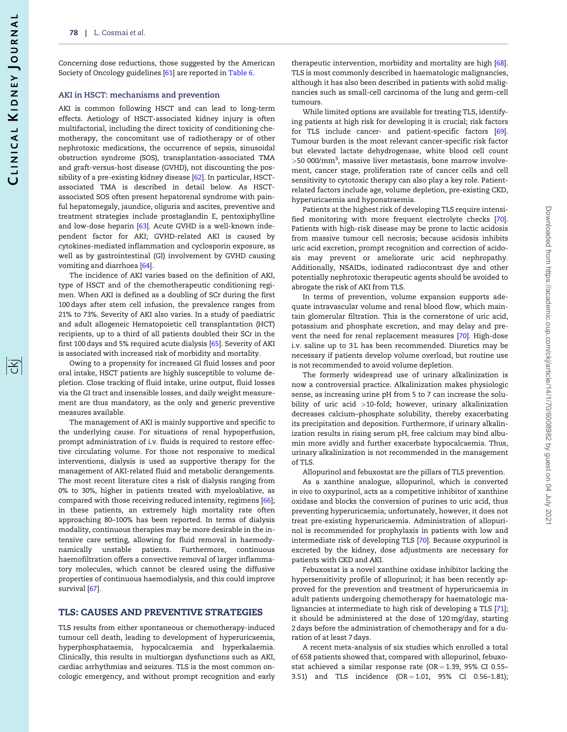<span id="page-8-0"></span>Concerning dose reductions, those suggested by the American Society of Oncology guidelines [\[61\]](#page-12-0) are reported in [Table 6](#page-7-0).

#### AKI in HSCT: mechanisms and prevention

AKI is common following HSCT and can lead to long-term effects. Aetiology of HSCT-associated kidney injury is often multifactorial, including the direct toxicity of conditioning chemotherapy, the concomitant use of radiotherapy or of other nephrotoxic medications, the occurrence of sepsis, sinusoidal obstruction syndrome (SOS), transplantation-associated TMA and graft-versus-host disease (GVHD), not discounting the possibility of a pre-existing kidney disease [[62](#page-12-0)]. In particular, HSCTassociated TMA is described in detail below. As HSCTassociated SOS often present hepatorenal syndrome with painful hepatomegaly, jaundice, oliguria and ascites, preventive and treatment strategies include prostaglandin E, pentoxiphylline and low-dose heparin [\[63\]](#page-12-0). Acute GVHD is a well-known independent factor for AKI; GVHD-related AKI is caused by cytokines-mediated inflammation and cyclosporin exposure, as well as by gastrointestinal (GI) involvement by GVHD causing vomiting and diarrhoea [[64\]](#page-12-0).

The incidence of AKI varies based on the definition of AKI, type of HSCT and of the chemotherapeutic conditioning regimen. When AKI is defined as a doubling of SCr during the first 100 days after stem cell infusion, the prevalence ranges from 21% to 73%. Severity of AKI also varies. In a study of paediatric and adult allogeneic Hematopoietic cell transplantation (HCT) recipients, up to a third of all patients doubled their SCr in the first 100 days and 5% required acute dialysis [\[65\]](#page-12-0). Severity of AKI is associated with increased risk of morbidity and mortality.

Owing to a propensity for increased GI fluid losses and poor oral intake, HSCT patients are highly susceptible to volume depletion. Close tracking of fluid intake, urine output, fluid losses via the GI tract and insensible losses, and daily weight measurement are thus mandatory, as the only and generic preventive measures available.

The management of AKI is mainly supportive and specific to the underlying cause. For situations of renal hypoperfusion, prompt administration of i.v. fluids is required to restore effective circulating volume. For those not responsive to medical interventions, dialysis is used as supportive therapy for the management of AKI-related fluid and metabolic derangements. The most recent literature cites a risk of dialysis ranging from 0% to 30%, higher in patients treated with myeloablative, as compared with those receiving reduced intensity, regimens [\[66\]](#page-12-0); in these patients, an extremely high mortality rate often approaching 80–100% has been reported. In terms of dialysis modality, continuous therapies may be more desirable in the intensive care setting, allowing for fluid removal in haemodynamically unstable patients. Furthermore, continuous haemofiltration offers a convective removal of larger inflammatory molecules, which cannot be cleared using the diffusive properties of continuous haemodialysis, and this could improve survival [[67\]](#page-12-0).

# TLS: CAUSES AND PREVENTIVE STRATEGIES

TLS results from either spontaneous or chemotherapy-induced tumour cell death, leading to development of hyperuricaemia, hyperphosphataemia, hypocalcaemia and hyperkalaemia. Clinically, this results in multiorgan dysfunctions such as AKI, cardiac arrhythmias and seizures. TLS is the most common oncologic emergency, and without prompt recognition and early

therapeutic intervention, morbidity and mortality are high [\[68\]](#page-12-0). TLS is most commonly described in haematologic malignancies, although it has also been described in patients with solid malignancies such as small-cell carcinoma of the lung and germ-cell tumours.

While limited options are available for treating TLS, identifying patients at high risk for developing it is crucial; risk factors for TLS include cancer- and patient-specific factors [\[69\]](#page-12-0). Tumour burden is the most relevant cancer-specific risk factor but elevated lactate dehydrogenase, white blood cell count  $>$ 50 000/mm<sup>3</sup>, massive liver metastasis, bone marrow involvement, cancer stage, proliferation rate of cancer cells and cell sensitivity to cytotoxic therapy can also play a key role. Patientrelated factors include age, volume depletion, pre-existing CKD, hyperuricaemia and hyponatraemia.

Patients at the highest risk of developing TLS require intensified monitoring with more frequent electrolyte checks [\[70\]](#page-12-0). Patients with high-risk disease may be prone to lactic acidosis from massive tumour cell necrosis; because acidosis inhibits uric acid excretion, prompt recognition and correction of acidosis may prevent or ameliorate uric acid nephropathy. Additionally, NSAIDs, iodinated radiocontrast dye and other potentially nephrotoxic therapeutic agents should be avoided to abrogate the risk of AKI from TLS.

In terms of prevention, volume expansion supports adequate intravascular volume and renal blood flow, which maintain glomerular filtration. This is the cornerstone of uric acid, potassium and phosphate excretion, and may delay and prevent the need for renal replacement measures [\[70](#page-12-0)]. High-dose i.v. saline up to 3L has been recommended. Diuretics may be necessary if patients develop volume overload, but routine use is not recommended to avoid volume depletion.

The formerly widespread use of urinary alkalinization is now a controversial practice. Alkalinization makes physiologic sense, as increasing urine pH from 5 to 7 can increase the solubility of uric acid >10-fold; however, urinary alkalinization decreases calcium–phosphate solubility, thereby exacerbating its precipitation and deposition. Furthermore, if urinary alkalinization results in rising serum pH, free calcium may bind albumin more avidly and further exacerbate hypocalcaemia. Thus, urinary alkalinization is not recommended in the management of TLS.

Allopurinol and febuxostat are the pillars of TLS prevention.

As a xanthine analogue, allopurinol, which is converted in vivo to oxypurinol, acts as a competitive inhibitor of xanthine oxidase and blocks the conversion of purines to uric acid, thus preventing hyperuricaemia; unfortunately, however, it does not treat pre-existing hyperuricaemia. Administration of allopurinol is recommended for prophylaxis in patients with low and intermediate risk of developing TLS [[70](#page-12-0)]. Because oxypurinol is excreted by the kidney, dose adjustments are necessary for patients with CKD and AKI.

Febuxostat is a novel xanthine oxidase inhibitor lacking the hypersensitivity profile of allopurinol; it has been recently approved for the prevention and treatment of hyperuricaemia in adult patients undergoing chemotherapy for haematologic malignancies at intermediate to high risk of developing a TLS [\[71\]](#page-12-0); it should be administered at the dose of 120 mg/day, starting 2 days before the administration of chemotherapy and for a duration of at least 7 days.

A recent meta-analysis of six studies which enrolled a total of 658 patients showed that, compared with allopurinol, febuxostat achieved a similar response rate (OR = 1.39, 95% CI 0.55– 3.51) and TLS incidence  $(OR = 1.01, 95\% \text{ CI} 0.56-1.81);$ 

序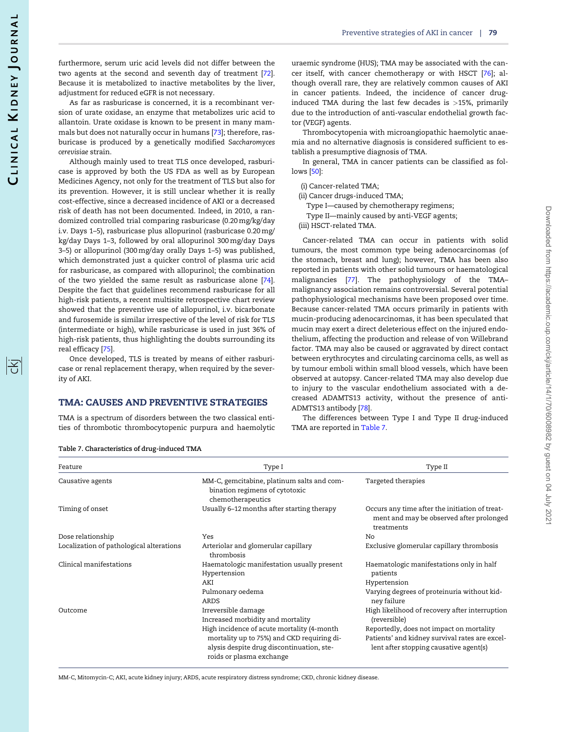<span id="page-9-0"></span>furthermore, serum uric acid levels did not differ between the two agents at the second and seventh day of treatment [\[72\]](#page-12-0). Because it is metabolized to inactive metabolites by the liver, adjustment for reduced eGFR is not necessary.

As far as rasburicase is concerned, it is a recombinant version of urate oxidase, an enzyme that metabolizes uric acid to allantoin. Urate oxidase is known to be present in many mammals but does not naturally occur in humans [[73](#page-13-0)]; therefore, rasburicase is produced by a genetically modified Saccharomyces cerevisiae strain.

Although mainly used to treat TLS once developed, rasburicase is approved by both the US FDA as well as by European Medicines Agency, not only for the treatment of TLS but also for its prevention. However, it is still unclear whether it is really cost-effective, since a decreased incidence of AKI or a decreased risk of death has not been documented. Indeed, in 2010, a randomized controlled trial comparing rasburicase (0.20 mg/kg/day i.v. Days 1–5), rasburicase plus allopurinol (rasburicase 0.20 mg/ kg/day Days 1–3, followed by oral allopurinol 300 mg/day Days 3–5) or allopurinol (300 mg/day orally Days 1–5) was published, which demonstrated just a quicker control of plasma uric acid for rasburicase, as compared with allopurinol; the combination of the two yielded the same result as rasburicase alone [\[74\]](#page-13-0). Despite the fact that guidelines recommend rasburicase for all high-risk patients, a recent multisite retrospective chart review showed that the preventive use of allopurinol, i.v. bicarbonate and furosemide is similar irrespective of the level of risk for TLS (intermediate or high), while rasburicase is used in just 36% of high-risk patients, thus highlighting the doubts surrounding its real efficacy [\[75\]](#page-13-0).

Once developed, TLS is treated by means of either rasburicase or renal replacement therapy, when required by the severity of AKI.

# TMA: CAUSES AND PREVENTIVE STRATEGIES

Table 7. Characteristics of drug-induced TMA

TMA is a spectrum of disorders between the two classical entities of thrombotic thrombocytopenic purpura and haemolytic

uraemic syndrome (HUS); TMA may be associated with the cancer itself, with cancer chemotherapy or with HSCT [\[76\]](#page-13-0); although overall rare, they are relatively common causes of AKI in cancer patients. Indeed, the incidence of cancer druginduced TMA during the last few decades is >15%, primarily due to the introduction of anti-vascular endothelial growth factor (VEGF) agents.

Thrombocytopenia with microangiopathic haemolytic anaemia and no alternative diagnosis is considered sufficient to establish a presumptive diagnosis of TMA.

In general, TMA in cancer patients can be classified as follows [\[50\]](#page-12-0):

(i) Cancer-related TMA;

(ii) Cancer drugs-induced TMA;

Type I—caused by chemotherapy regimens;

Type II—mainly caused by anti-VEGF agents;

(iii) HSCT-related TMA.

Cancer-related TMA can occur in patients with solid tumours, the most common type being adenocarcinomas (of the stomach, breast and lung); however, TMA has been also reported in patients with other solid tumours or haematological malignancies [[77\]](#page-13-0). The pathophysiology of the TMA– malignancy association remains controversial. Several potential pathophysiological mechanisms have been proposed over time. Because cancer-related TMA occurs primarily in patients with mucin-producing adenocarcinomas, it has been speculated that mucin may exert a direct deleterious effect on the injured endothelium, affecting the production and release of von Willebrand factor. TMA may also be caused or aggravated by direct contact between erythrocytes and circulating carcinoma cells, as well as by tumour emboli within small blood vessels, which have been observed at autopsy. Cancer-related TMA may also develop due to injury to the vascular endothelium associated with a decreased ADAMTS13 activity, without the presence of anti-ADMTS13 antibody [\[78\]](#page-13-0).

The differences between Type I and Type II drug-induced TMA are reported in Table 7.

| Feature                                  | Type I                                                                                                                                                            | Type II                                                                                                                              |
|------------------------------------------|-------------------------------------------------------------------------------------------------------------------------------------------------------------------|--------------------------------------------------------------------------------------------------------------------------------------|
| Causative agents                         | MM-C, gemcitabine, platinum salts and com-<br>bination regimens of cytotoxic<br>chemotherapeutics                                                                 | Targeted therapies                                                                                                                   |
| Timing of onset                          | Usually 6–12 months after starting therapy                                                                                                                        | Occurs any time after the initiation of treat-<br>ment and may be observed after prolonged<br>treatments                             |
| Dose relationship                        | Yes                                                                                                                                                               | No                                                                                                                                   |
| Localization of pathological alterations | Arteriolar and glomerular capillary<br>thrombosis                                                                                                                 | Exclusive glomerular capillary thrombosis                                                                                            |
| Clinical manifestations                  | Haematologic manifestation usually present<br>Hypertension<br>AKI                                                                                                 | Haematologic manifestations only in half<br>patients                                                                                 |
|                                          | Pulmonary oedema<br><b>ARDS</b>                                                                                                                                   | Hypertension<br>Varying degrees of proteinuria without kid-<br>ney failure                                                           |
| Outcome                                  | Irreversible damage<br>Increased morbidity and mortality                                                                                                          | High likelihood of recovery after interruption<br>(reversible)                                                                       |
|                                          | High incidence of acute mortality (4-month<br>mortality up to 75%) and CKD requiring di-<br>alysis despite drug discontinuation, ste-<br>roids or plasma exchange | Reportedly, does not impact on mortality<br>Patients' and kidney survival rates are excel-<br>lent after stopping causative agent(s) |

MM-C, Mitomycin-C; AKI, acute kidney injury; ARDS, acute respiratory distress syndrome; CKD, chronic kidney disease.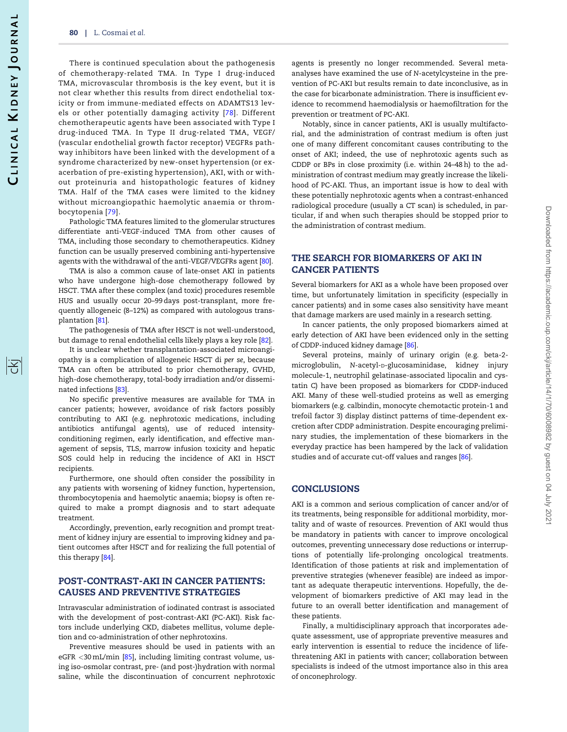<span id="page-10-0"></span>There is continued speculation about the pathogenesis of chemotherapy-related TMA. In Type I drug-induced TMA, microvascular thrombosis is the key event, but it is not clear whether this results from direct endothelial toxicity or from immune-mediated effects on ADAMTS13 levels or other potentially damaging activity [\[78\]](#page-13-0). Different chemotherapeutic agents have been associated with Type I drug-induced TMA. In Type II drug-related TMA, VEGF/ (vascular endothelial growth factor receptor) VEGFRs pathway inhibitors have been linked with the development of a syndrome characterized by new-onset hypertension (or exacerbation of pre-existing hypertension), AKI, with or without proteinuria and histopathologic features of kidney TMA. Half of the TMA cases were limited to the kidney without microangiopathic haemolytic anaemia or thrombocytopenia [[79](#page-13-0)].

Pathologic TMA features limited to the glomerular structures differentiate anti-VEGF-induced TMA from other causes of TMA, including those secondary to chemotherapeutics. Kidney function can be usually preserved combining anti-hypertensive agents with the withdrawal of the anti-VEGF/VEGFRs agent [[80\]](#page-13-0).

TMA is also a common cause of late-onset AKI in patients who have undergone high-dose chemotherapy followed by HSCT. TMA after these complex (and toxic) procedures resemble HUS and usually occur 20–99 days post-transplant, more frequently allogeneic (8–12%) as compared with autologous transplantation [[81\]](#page-13-0).

The pathogenesis of TMA after HSCT is not well-understood, but damage to renal endothelial cells likely plays a key role [\[82](#page-13-0)].

It is unclear whether transplantation-associated microangiopathy is a complication of allogeneic HSCT di per se, because TMA can often be attributed to prior chemotherapy, GVHD, high-dose chemotherapy, total-body irradiation and/or disseminated infections [[83](#page-13-0)].

No specific preventive measures are available for TMA in cancer patients; however, avoidance of risk factors possibly contributing to AKI (e.g. nephrotoxic medications, including antibiotics antifungal agents), use of reduced intensityconditioning regimen, early identification, and effective management of sepsis, TLS, marrow infusion toxicity and hepatic SOS could help in reducing the incidence of AKI in HSCT recipients.

Furthermore, one should often consider the possibility in any patients with worsening of kidney function, hypertension, thrombocytopenia and haemolytic anaemia; biopsy is often required to make a prompt diagnosis and to start adequate treatment.

Accordingly, prevention, early recognition and prompt treatment of kidney injury are essential to improving kidney and patient outcomes after HSCT and for realizing the full potential of this therapy [[84\]](#page-13-0).

# POST-CONTRAST-AKI IN CANCER PATIENTS: CAUSES AND PREVENTIVE STRATEGIES

Intravascular administration of iodinated contrast is associated with the development of post-contrast-AKI (PC-AKI). Risk factors include underlying CKD, diabetes mellitus, volume depletion and co-administration of other nephrotoxins.

Preventive measures should be used in patients with an eGFR <30 mL/min [[85\]](#page-13-0), including limiting contrast volume, using iso-osmolar contrast, pre- (and post-)hydration with normal saline, while the discontinuation of concurrent nephrotoxic

agents is presently no longer recommended. Several metaanalyses have examined the use of N-acetylcysteine in the prevention of PC-AKI but results remain to date inconclusive, as in the case for bicarbonate administration. There is insufficient evidence to recommend haemodialysis or haemofiltration for the prevention or treatment of PC-AKI.

Notably, since in cancer patients, AKI is usually multifactorial, and the administration of contrast medium is often just one of many different concomitant causes contributing to the onset of AKI; indeed, the use of nephrotoxic agents such as CDDP or BPs in close proximity (i.e. within 24–48 h) to the administration of contrast medium may greatly increase the likelihood of PC-AKI. Thus, an important issue is how to deal with these potentially nephrotoxic agents when a contrast-enhanced radiological procedure (usually a CT scan) is scheduled, in particular, if and when such therapies should be stopped prior to the administration of contrast medium.

# THE SEARCH FOR BIOMARKERS OF AKI IN CANCER PATIENTS

Several biomarkers for AKI as a whole have been proposed over time, but unfortunately limitation in specificity (especially in cancer patients) and in some cases also sensitivity have meant that damage markers are used mainly in a research setting.

In cancer patients, the only proposed biomarkers aimed at early detection of AKI have been evidenced only in the setting of CDDP-induced kidney damage [\[86\]](#page-13-0).

Several proteins, mainly of urinary origin (e.g. beta-2 microglobulin, N-acetyl-D-glucosaminidase, kidney injury molecule-1, neutrophil gelatinase-associated lipocalin and cystatin C) have been proposed as biomarkers for CDDP-induced AKI. Many of these well-studied proteins as well as emerging biomarkers (e.g. calbindin, monocyte chemotactic protein-1 and trefoil factor 3) display distinct patterns of time-dependent excretion after CDDP administration. Despite encouraging preliminary studies, the implementation of these biomarkers in the everyday practice has been hampered by the lack of validation studies and of accurate cut-off values and ranges [\[86](#page-13-0)].

# **CONCLUSIONS**

AKI is a common and serious complication of cancer and/or of its treatments, being responsible for additional morbidity, mortality and of waste of resources. Prevention of AKI would thus be mandatory in patients with cancer to improve oncological outcomes, preventing unnecessary dose reductions or interruptions of potentially life-prolonging oncological treatments. Identification of those patients at risk and implementation of preventive strategies (whenever feasible) are indeed as important as adequate therapeutic interventions. Hopefully, the development of biomarkers predictive of AKI may lead in the future to an overall better identification and management of these patients.

Finally, a multidisciplinary approach that incorporates adequate assessment, use of appropriate preventive measures and early intervention is essential to reduce the incidence of lifethreatening AKI in patients with cancer; collaboration between specialists is indeed of the utmost importance also in this area of onconephrology.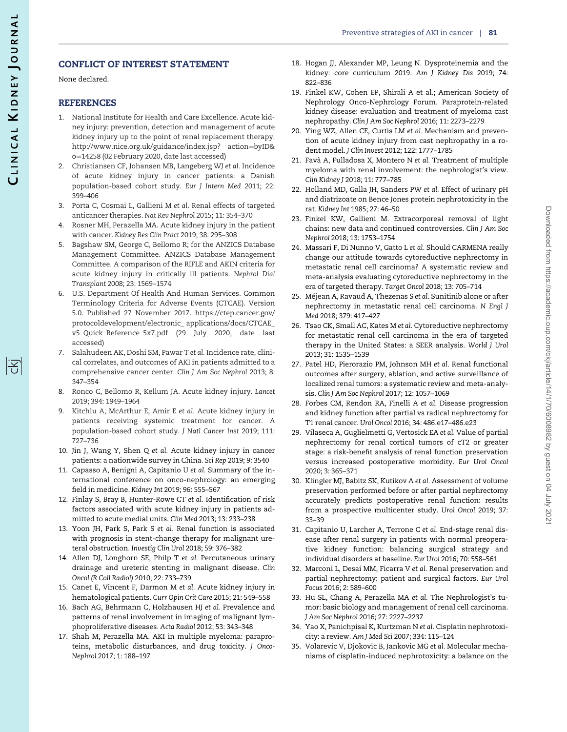# <span id="page-11-0"></span>CONFLICT OF INTEREST STATEMENT

None declared.

# REFERENCES

- [1](#page-1-0). National Institute for Health and Care Excellence. Acute kidney injury: prevention, detection and management of acute kidney injury up to the point of renal replacement therapy. [http://www.nice.org.uk/guidance/index.jsp? action](http://www.nice.org.uk/guidance/index.jsp? action=byID&hx0026;o=14258)=[byID](http://www.nice.org.uk/guidance/index.jsp? action=byID&hx0026;o=14258)& [o](http://www.nice.org.uk/guidance/index.jsp? action=byID&hx0026;o=14258)=[14258](http://www.nice.org.uk/guidance/index.jsp? action=byID&hx0026;o=14258) (02 February 2020, date last accessed)
- [2](#page-1-0). Christiansen CF, Johansen MB, Langeberg WJ et al. Incidence of acute kidney injury in cancer patients: a Danish population-based cohort study. Eur J Intern Med 2011; 22: 399–406
- [3](#page-1-0). Porta C, Cosmai L, Gallieni M et al. Renal effects of targeted anticancer therapies. Nat Rev Nephrol 2015; 11: 354–370
- [4](#page-1-0). Rosner MH, Perazella MA. Acute kidney injury in the patient with cancer. Kidney Res Clin Pract 2019; 38: 295–308
- [5](#page-1-0). Bagshaw SM, George C, Bellomo R; for the ANZICS Database Management Committee. ANZICS Database Management Committee. A comparison of the RIFLE and AKIN criteria for acute kidney injury in critically ill patients. Nephrol Dial Transplant 2008; 23: 1569–1574
- [6](#page-1-0). U.S. Department Of Health And Human Services. Common Terminology Criteria for Adverse Events (CTCAE). Version 5.0. Published 27 November 2017. [https://ctep.cancer.gov/](https://ctep.cancer.gov/protocoldevelopment/electronic_) [protocoldevelopment/electronic\\_ applications/docs/CTCAE\\_](https://ctep.cancer.gov/protocoldevelopment/electronic_) [v5\\_Quick\\_Reference\\_5x7.pdf \(29 July 2020, date last](https://ctep.cancer.gov/protocoldevelopment/electronic_) [accessed\)](https://ctep.cancer.gov/protocoldevelopment/electronic_)
- [7](#page-1-0). Salahudeen AK, Doshi SM, Pawar T et al. Incidence rate, clinical correlates, and outcomes of AKI in patients admitted to a comprehensive cancer center. Clin J Am Soc Nephrol 2013; 8: 347–354
- [8](#page-1-0). Ronco C, Bellomo R, Kellum JA. Acute kidney injury. Lancet 2019; 394: 1949–1964
- [9](#page-1-0). Kitchlu A, McArthur E, Amir E et al. Acute kidney injury in patients receiving systemic treatment for cancer. A population-based cohort study. J Natl Cancer Inst 2019; 111: 727–736
- [10](#page-1-0). Jin J, Wang Y, Shen Q et al. Acute kidney injury in cancer patients: a nationwide survey in China. Sci Rep 2019; 9: 3540
- [11](#page-1-0). Capasso A, Benigni A, Capitanio U et al. Summary of the international conference on onco-nephrology: an emerging field in medicine. Kidney Int 2019; 96: 555–567
- [12](#page-1-0). Finlay S, Bray B, Hunter-Rowe CT et al. Identification of risk factors associated with acute kidney injury in patients admitted to acute medial units. Clin Med 2013; 13: 233–238
- [13](#page-4-0). Yoon JH, Park S, Park S et al. Renal function is associated with prognosis in stent-change therapy for malignant ureteral obstruction. Investig Clin Urol 2018; 59: 376–382
- [14](#page-4-0). Allen DJ, Longhorn SE, Philp T et al. Percutaneous urinary drainage and ureteric stenting in malignant disease. Clin Oncol (R Coll Radiol) 2010; 22: 733–739
- [15](#page-4-0). Canet E, Vincent F, Darmon M et al. Acute kidney injury in hematological patients. Curr Opin Crit Care 2015; 21: 549–558
- [16](#page-4-0). Bach AG, Behrmann C, Holzhausen HJ et al. Prevalence and patterns of renal involvement in imaging of malignant lymphoproliferative diseases. Acta Radiol 2012; 53: 343–348
- [17](#page-5-0). Shah M, Perazella MA. AKI in multiple myeloma: paraproteins, metabolic disturbances, and drug toxicity. J Onco-Nephrol 2017; 1: 188–197
- [18](#page-5-0). Hogan JJ, Alexander MP, Leung N. Dysproteinemia and the kidney: core curriculum 2019. Am J Kidney Dis 2019; 74: 822–836
- [19](#page-5-0). Finkel KW, Cohen EP, Shirali A et al.; American Society of Nephrology Onco-Nephrology Forum. Paraprotein-related kidney disease: evaluation and treatment of myeloma cast nephropathy. Clin J Am Soc Nephrol 2016; 11: 2273–2279
- [20](#page-5-0). Ying WZ, Allen CE, Curtis LM et al. Mechanism and prevention of acute kidney injury from cast nephropathy in a rodent model. J Clin Invest 2012; 122: 1777–1785
- [21](#page-5-0). Favà A, Fulladosa X, Montero N et al. Treatment of multiple myeloma with renal involvement: the nephrologist's view. Clin Kidney J 2018; 11: 777–785
- [22](#page-5-0). Holland MD, Galla JH, Sanders PW et al. Effect of urinary pH and diatrizoate on Bence Jones protein nephrotoxicity in the rat. Kidney Int 1985; 27: 46–50
- [23](#page-5-0). Finkel KW, Gallieni M. Extracorporeal removal of light chains: new data and continued controversies. Clin J Am Soc Nephrol 2018; 13: 1753–1754
- [24](#page-5-0). Massari F, Di Nunno V, Gatto L et al. Should CARMENA really change our attitude towards cytoreductive nephrectomy in metastatic renal cell carcinoma? A systematic review and meta-analysis evaluating cytoreductive nephrectomy in the era of targeted therapy. Target Oncol 2018; 13: 705–714
- [25](#page-5-0). Méjean A, Ravaud A, Thezenas S et al. Sunitinib alone or after nephrectomy in metastatic renal cell carcinoma. N Engl J Med 2018; 379: 417–427
- [26](#page-5-0). Tsao CK, Small AC, Kates M et al. Cytoreductive nephrectomy for metastatic renal cell carcinoma in the era of targeted therapy in the United States: a SEER analysis. World J Urol 2013; 31: 1535–1539
- [27](#page-5-0). Patel HD, Pierorazio PM, Johnson MH et al. Renal functional outcomes after surgery, ablation, and active surveillance of localized renal tumors: a systematic review and meta-analysis. Clin J Am Soc Nephrol 2017; 12: 1057–1069
- [28](#page-5-0). Forbes CM, Rendon RA, Finelli A et al. Disease progression and kidney function after partial vs radical nephrectomy for T1 renal cancer. Urol Oncol 2016; 34: 486.e17–486.e23
- [29](#page-5-0). Vilaseca A, Guglielmetti G, Vertosick EA et al. Value of partial nephrectomy for renal cortical tumors of cT2 or greater stage: a risk-benefit analysis of renal function preservation versus increased postoperative morbidity. Eur Urol Oncol 2020; 3: 365–371
- [30](#page-5-0). Klingler MJ, Babitz SK, Kutikov A et al. Assessment of volume preservation performed before or after partial nephrectomy accurately predicts postoperative renal function: results from a prospective multicenter study. Urol Oncol 2019; 37: 33–39
- [31](#page-5-0). Capitanio U, Larcher A, Terrone C et al. End-stage renal disease after renal surgery in patients with normal preoperative kidney function: balancing surgical strategy and individual disorders at baseline. Eur Urol 2016; 70: 558–561
- [32](#page-5-0). Marconi L, Desai MM, Ficarra V et al. Renal preservation and partial nephrectomy: patient and surgical factors. Eur Urol Focus 2016; 2: 589–600
- [33](#page-5-0). Hu SL, Chang A, Perazella MA et al. The Nephrologist's tumor: basic biology and management of renal cell carcinoma. J Am Soc Nephrol 2016; 27: 2227–2237
- [34](#page-6-0). Yao X, Panichpisal K, Kurtzman N et al. Cisplatin nephrotoxicity: a review. Am J Med Sci 2007; 334: 115–124
- [35](#page-6-0). Volarevic V, Djokovic B, Jankovic MG et al. Molecular mechanisms of cisplatin-induced nephrotoxicity: a balance on the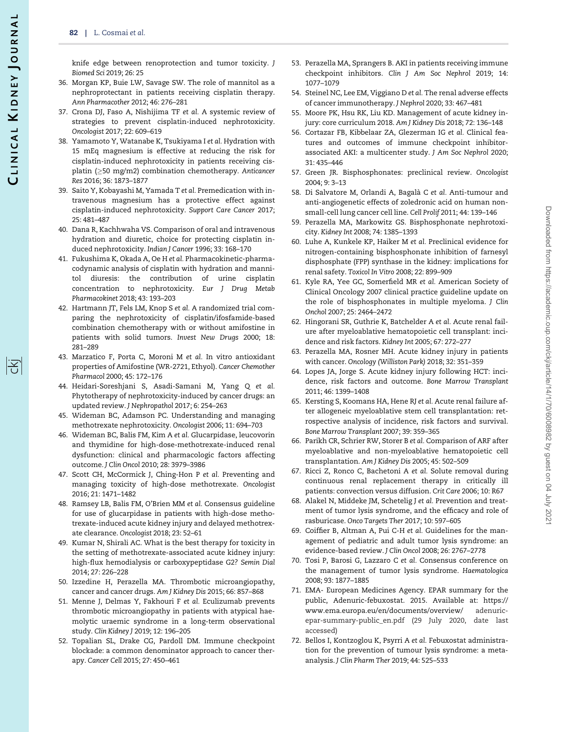<span id="page-12-0"></span>knife edge between renoprotection and tumor toxicity. J Biomed Sci 2019; 26: 25

- [36](#page-6-0). Morgan KP, Buie LW, Savage SW. The role of mannitol as a nephroprotectant in patients receiving cisplatin therapy. Ann Pharmacother 2012; 46: 276–281
- [37](#page-6-0). Crona DJ, Faso A, Nishijima TF et al. A systemic review of strategies to prevent cisplatin-induced nephrotoxicity. Oncologist 2017; 22: 609–619
- [38](#page-6-0). Yamamoto Y, Watanabe K, Tsukiyama I et al. Hydration with 15 mEq magnesium is effective at reducing the risk for cisplatin-induced nephrotoxicity in patients receiving cisplatin (≥50 mg/m2) combination chemotherapy. Anticancer Res 2016; 36: 1873–1877
- [39](#page-6-0). Saito Y, Kobayashi M, Yamada T et al. Premedication with intravenous magnesium has a protective effect against cisplatin-induced nephrotoxicity. Support Care Cancer 2017; 25: 481–487
- [40](#page-6-0). Dana R, Kachhwaha VS. Comparison of oral and intravenous hydration and diuretic, choice for protecting cisplatin induced nephrotoxicity. Indian J Cancer 1996; 33: 168–170
- [41](#page-6-0). Fukushima K, Okada A, Oe H et al. Pharmacokinetic-pharmacodynamic analysis of cisplatin with hydration and mannitol diuresis: the contribution of urine cisplatin concentration to nephrotoxicity. Eur J Drug Metab Pharmacokinet 2018; 43: 193–203
- [42](#page-6-0). Hartmann JT, Fels LM, Knop S et al. A randomized trial comparing the nephrotoxicity of cisplatin/ifosfamide-based combination chemotherapy with or without amifostine in patients with solid tumors. Invest New Drugs 2000; 18: 281–289
- [43](#page-6-0). Marzatico F, Porta C, Moroni M et al. In vitro antioxidant properties of Amifostine (WR-2721, Ethyol). Cancer Chemother Pharmacol 2000; 45: 172–176
- [44](#page-6-0). Heidari-Soreshjani S, Asadi-Samani M, Yang Q et al. Phytotherapy of nephrotoxicity-induced by cancer drugs: an updated review. J Nephropathol 2017; 6: 254–263
- [45](#page-6-0). Wideman BC, Adamson PC. Understanding and managing methotrexate nephrotoxicity. Oncologist 2006; 11: 694–703
- [46](#page-6-0). Wideman BC, Balis FM, Kim A et al. Glucarpidase, leucovorin and thymidine for high-dose-methotrexate-induced renal dysfunction: clinical and pharmacologic factors affecting outcome. J Clin Oncol 2010; 28: 3979–3986
- [47](#page-6-0). Scott CH, McCormick J, Ching-Hon P et al. Preventing and managing toxicity of high-dose methotrexate. Oncologist 2016; 21: 1471–1482
- [48](#page-7-0). Ramsey LB, Balis FM, O'Brien MM et al. Consensus guideline for use of glucarpidase in patients with high-dose methotrexate-induced acute kidney injury and delayed methotrexate clearance. Oncologist 2018; 23: 52–61
- [49](#page-7-0). Kumar N, Shirali AC. What is the best therapy for toxicity in the setting of methotrexate-associated acute kidney injury: high-flux hemodialysis or carboxypeptidase G2? Semin Dial 2014; 27: 226–228
- [50](#page-7-0). Izzedine H, Perazella MA. Thrombotic microangiopathy, cancer and cancer drugs. Am J Kidney Dis 2015; 66: 857–868
- [51](#page-7-0). Menne J, Delmas Y, Fakhouri F et al. Eculizumab prevents thrombotic microangiopathy in patients with atypical haemolytic uraemic syndrome in a long-term observational study. Clin Kidney J 2019; 12: 196–205
- [52](#page-7-0). Topalian SL, Drake CG, Pardoll DM. Immune checkpoint blockade: a common denominator approach to cancer therapy. Cancer Cell 2015; 27: 450–461
- [53](#page-7-0). Perazella MA, Sprangers B. AKI in patients receiving immune checkpoint inhibitors. Clin J Am Soc Nephrol 2019; 14: 1077–1079
- [54](#page-7-0). Steinel NC, Lee EM, Viggiano D et al. The renal adverse effects of cancer immunotherapy. J Nephrol 2020; 33: 467–481
- [55](#page-7-0). Moore PK, Hsu RK, Liu KD. Management of acute kidney injury: core curriculum 2018. Am J Kidney Dis 2018; 72: 136–148
- [56](#page-7-0). Cortazar FB, Kibbelaar ZA, Glezerman IG et al. Clinical features and outcomes of immune checkpoint inhibitorassociated AKI: a multicenter study. J Am Soc Nephrol 2020; 31: 435–446
- [57](#page-7-0). Green JR. Bisphosphonates: preclinical review. Oncologist 2004; 9: 3–13
- [58](#page-7-0). Di Salvatore M, Orlandi A, Bagalà C et al. Anti-tumour and anti-angiogenetic effects of zoledronic acid on human nonsmall-cell lung cancer cell line. Cell Prolif 2011; 44: 139–146
- [59](#page-7-0). Perazella MA, Markowitz GS. Bisphosphonate nephrotoxicity. Kidney Int 2008; 74: 1385–1393
- [60](#page-7-0). Luhe A, Kunkele KP, Haiker M et al. Preclinical evidence for nitrogen-containing bisphosphonate inhibition of farnesyl disphosphate (FPP) synthase in the kidney: implications for renal safety. Toxicol In Vitro 2008; 22: 899–909
- [61](#page-7-0). Kyle RA, Yee GC, Somerfield MR et al. American Society of Clinical Oncology 2007 clinical practice guideline update on the role of bisphosphonates in multiple myeloma. J Clin Onchol 2007; 25: 2464–2472
- [62](#page-8-0). Hingorani SR, Guthrie K, Batchelder A et al. Acute renal failure after myeloablative hematopoietic cell transplant: incidence and risk factors. Kidney Int 2005; 67: 272–277
- [63](#page-8-0). Perazella MA, Rosner MH. Acute kidney injury in patients with cancer. Oncology (Williston Park) 2018; 32: 351–359
- [64](#page-8-0). Lopes JA, Jorge S. Acute kidney injury following HCT: incidence, risk factors and outcome. Bone Marrow Transplant 2011; 46: 1399–1408
- [65](#page-8-0). Kersting S, Koomans HA, Hene RJ et al. Acute renal failure after allogeneic myeloablative stem cell transplantation: retrospective analysis of incidence, risk factors and survival. Bone Marrow Transplant 2007; 39: 359–365
- [66](#page-8-0). Parikh CR, Schrier RW, Storer B et al. Comparison of ARF after myeloablative and non-myeloablative hematopoietic cell transplantation. Am J Kidney Dis 2005; 45: 502–509
- [67](#page-8-0). Ricci Z, Ronco C, Bachetoni A et al. Solute removal during continuous renal replacement therapy in critically ill patients: convection versus diffusion. Crit Care 2006; 10: R67
- [68](#page-8-0). Alakel N, Middeke JM, Schetelig J et al. Prevention and treatment of tumor lysis syndrome, and the efficacy and role of rasburicase. Onco Targets Ther 2017; 10: 597–605
- [69](#page-8-0). Coiffier B, Altman A, Pui C-H et al. Guidelines for the management of pediatric and adult tumor lysis syndrome: an evidence-based review. J Clin Oncol 2008; 26: 2767–2778
- [70](#page-8-0). Tosi P, Barosi G, Lazzaro C et al. Consensus conference on the management of tumor lysis syndrome. Haematologica 2008; 93: 1877–1885
- [71](#page-8-0). EMA- European Medicines Agency. EPAR summary for the public, Adenuric-febuxostat. 2015. Available at: [https://](https://www.ema.europa.eu/en/documents/overview/) [www.ema.europa.eu/en/documents/overview/](https://www.ema.europa.eu/en/documents/overview/) adenuricepar-summary-public\_en.pdf (29 July 2020, date last accessed)
- [72](#page-9-0). Bellos I, Kontzoglou K, Psyrri A et al. Febuxostat administration for the prevention of tumour lysis syndrome: a metaanalysis. J Clin Pharm Ther 2019; 44: 525–533